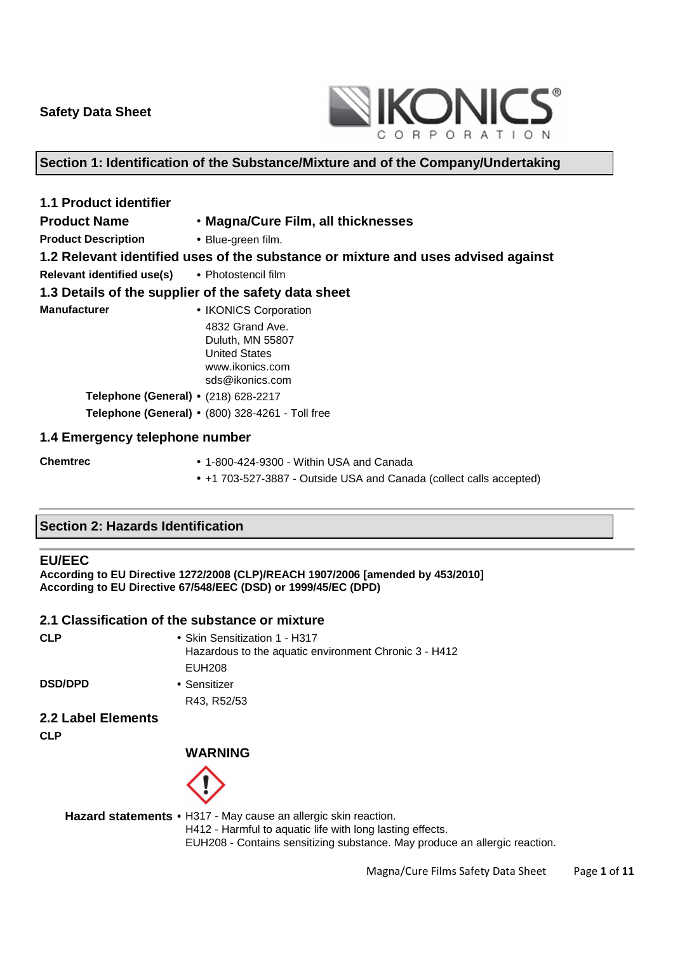

### **Section 1: Identification of the Substance/Mixture and of the Company/Undertaking**

| <b>1.1 Product identifier</b>                         |                                                                                                   |  |  |
|-------------------------------------------------------|---------------------------------------------------------------------------------------------------|--|--|
| <b>Product Name</b>                                   | • Magna/Cure Film, all thicknesses                                                                |  |  |
| <b>Product Description</b>                            | • Blue-green film.                                                                                |  |  |
|                                                       | 1.2 Relevant identified uses of the substance or mixture and uses advised against                 |  |  |
| <b>Relevant identified use(s)</b> • Photostencil film |                                                                                                   |  |  |
|                                                       | 1.3 Details of the supplier of the safety data sheet                                              |  |  |
| <b>Manufacturer</b>                                   | • IKONICS Corporation                                                                             |  |  |
|                                                       | 4832 Grand Ave.<br>Duluth, MN 55807<br><b>United States</b><br>www.ikonics.com<br>sds@ikonics.com |  |  |
| Telephone (General) • (218) 628-2217                  |                                                                                                   |  |  |
|                                                       | Telephone (General) • (800) 328-4261 - Toll free                                                  |  |  |
| 1.4 Emergency telephone number                        |                                                                                                   |  |  |
| <b>Chemtrec</b>                                       | $\bullet$ 1-800-424-9300 - Within USA and Canada                                                  |  |  |

• +1 703-527-3887 - Outside USA and Canada (collect calls accepted)

#### **Section 2: Hazards Identification**

#### **EU/EEC**

**According to EU Directive 1272/2008 (CLP)/REACH 1907/2006 [amended by 453/2010] According to EU Directive 67/548/EEC (DSD) or 1999/45/EC (DPD)** 

#### **2.1 Classification of the substance or mixture**

| PU 1<br>v    |  |
|--------------|--|
|              |  |
| I<br>×<br>۰. |  |

| CLP            | • Skin Sensitization 1 - H317<br>Hazardous to the aquatic environment Chronic 3 - H412 |
|----------------|----------------------------------------------------------------------------------------|
|                | EUH208                                                                                 |
| <b>DSD/DPD</b> | • Sensitizer                                                                           |

**DSD/DPD** 

- R43, R52/53
- **2.2 Label Elements**

**CLP** 

### **WARNING**



**Hazard statements** • H317 - May cause an allergic skin reaction. H412 - Harmful to aquatic life with long lasting effects. EUH208 - Contains sensitizing substance. May produce an allergic reaction.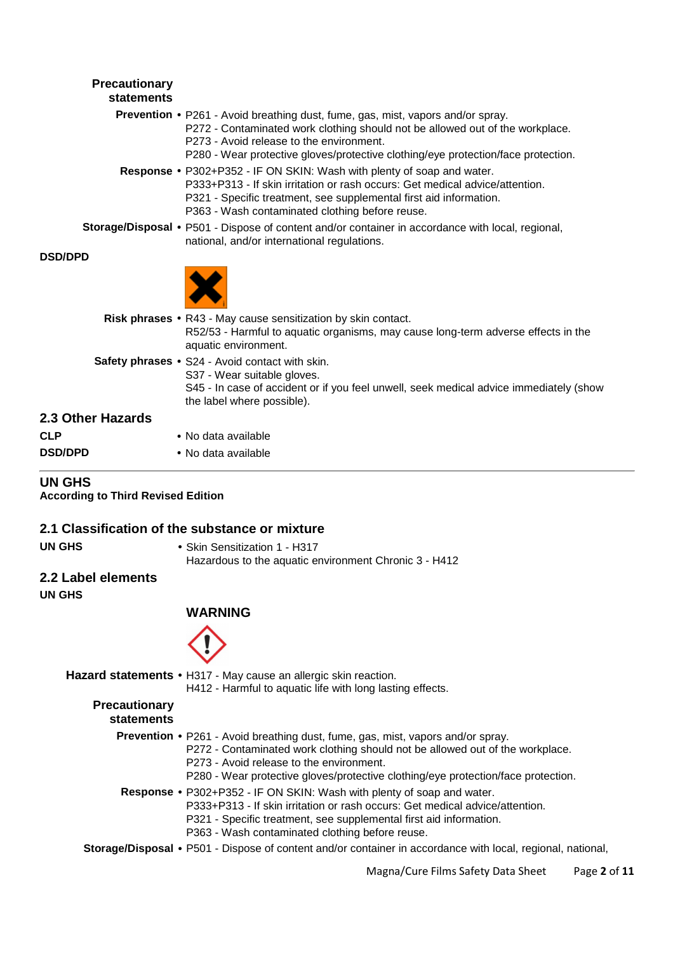| Precautionary<br>statements |                                                                                                                                                                                                                                                                                                          |
|-----------------------------|----------------------------------------------------------------------------------------------------------------------------------------------------------------------------------------------------------------------------------------------------------------------------------------------------------|
|                             | <b>Prevention •</b> P261 - Avoid breathing dust, fume, gas, mist, vapors and/or spray.<br>P272 - Contaminated work clothing should not be allowed out of the workplace.<br>P273 - Avoid release to the environment.<br>P280 - Wear protective gloves/protective clothing/eye protection/face protection. |
|                             | Response • P302+P352 - IF ON SKIN: Wash with plenty of soap and water.<br>P333+P313 - If skin irritation or rash occurs: Get medical advice/attention.<br>P321 - Specific treatment, see supplemental first aid information.<br>P363 - Wash contaminated clothing before reuse.                          |
|                             | Storage/Disposal • P501 - Dispose of content and/or container in accordance with local, regional,<br>national, and/or international regulations.                                                                                                                                                         |
| <b>DSD/DPD</b>              |                                                                                                                                                                                                                                                                                                          |
|                             |                                                                                                                                                                                                                                                                                                          |
|                             | Risk phrases • R43 - May cause sensitization by skin contact.<br>R52/53 - Harmful to aquatic organisms, may cause long-term adverse effects in the<br>aquatic environment.                                                                                                                               |
|                             | Safety phrases . S24 - Avoid contact with skin.<br>S37 - Wear suitable gloves.<br>S45 - In case of accident or if you feel unwell, seek medical advice immediately (show<br>the label where possible).                                                                                                   |
| 2.3 Other Hazards           |                                                                                                                                                                                                                                                                                                          |
| CLP                         | • No data available                                                                                                                                                                                                                                                                                      |
| <b>DSD/DPD</b>              | • No data available                                                                                                                                                                                                                                                                                      |
|                             |                                                                                                                                                                                                                                                                                                          |

### **UN GHS**

**According to Third Revised Edition**

#### **2.1 Classification of the substance or mixture**

**UN GHS** • Skin Sensitization 1 - H317 Hazardous to the aquatic environment Chronic 3 - H412

#### **2.2 Label elements**

**UN GHS** 

#### **WARNING**



**Hazard statements** • H317 - May cause an allergic skin reaction. H412 - Harmful to aquatic life with long lasting effects.

#### **Precautionary statements**

- **Prevention** P261 Avoid breathing dust, fume, gas, mist, vapors and/or spray.
	- P272 Contaminated work clothing should not be allowed out of the workplace.
	- P273 Avoid release to the environment.
	- P280 Wear protective gloves/protective clothing/eye protection/face protection.
- **Response** P302+P352 IF ON SKIN: Wash with plenty of soap and water.
	- P333+P313 If skin irritation or rash occurs: Get medical advice/attention.
	- P321 Specific treatment, see supplemental first aid information.
	- P363 Wash contaminated clothing before reuse.
- **Storage/Disposal** P501 Dispose of content and/or container in accordance with local, regional, national,

Magna/Cure Films Safety Data Sheet Page **2** of **11**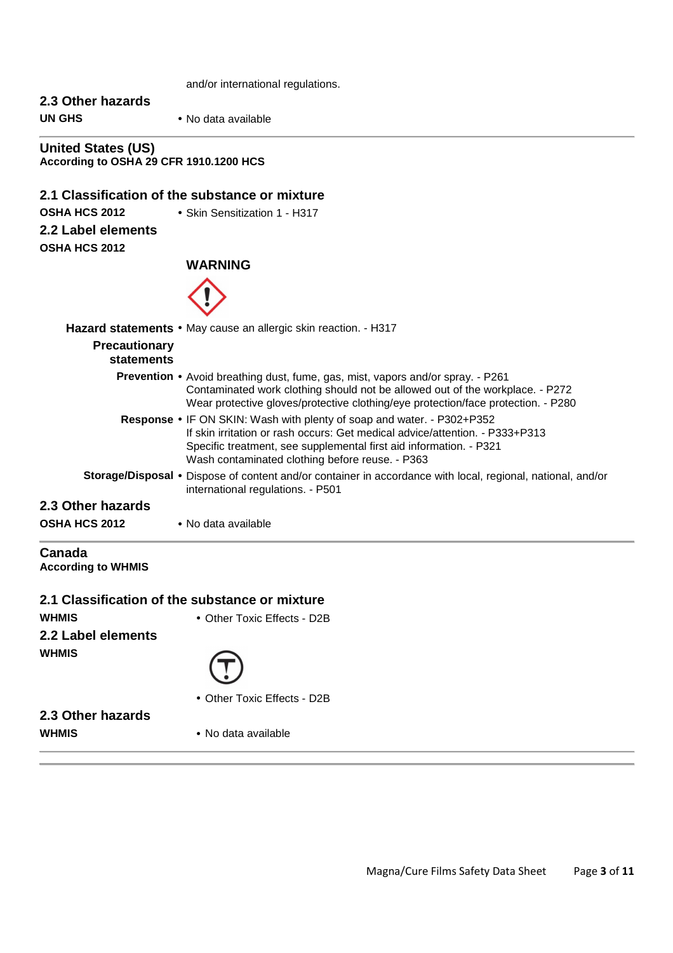and/or international regulations.

# **2.3 Other hazards UN GHS** • No data available

**United States (US) According to OSHA 29 CFR 1910.1200 HCS**

#### **2.1 Classification of the substance or mixture**

**OSHA HCS 2012** • Skin Sensitization 1 - H317

**2.2 Label elements**

**OSHA HCS 2012** 

#### **WARNING**



|                                           | Hazard statements • May cause an allergic skin reaction. - H317                                                                                                                                                                                                                        |
|-------------------------------------------|----------------------------------------------------------------------------------------------------------------------------------------------------------------------------------------------------------------------------------------------------------------------------------------|
| <b>Precautionary</b><br>statements        |                                                                                                                                                                                                                                                                                        |
|                                           | Prevention • Avoid breathing dust, fume, gas, mist, vapors and/or spray. - P261<br>Contaminated work clothing should not be allowed out of the workplace. - P272<br>Wear protective gloves/protective clothing/eye protection/face protection. - P280                                  |
|                                           | <b>Response •</b> IF ON SKIN: Wash with plenty of soap and water. - P302+P352<br>If skin irritation or rash occurs: Get medical advice/attention. - P333+P313<br>Specific treatment, see supplemental first aid information. - P321<br>Wash contaminated clothing before reuse. - P363 |
|                                           | <b>Storage/Disposal •</b> Dispose of content and/or container in accordance with local, regional, national, and/or<br>international regulations. - P501                                                                                                                                |
| 2.3 Other hazards<br><b>OSHA HCS 2012</b> | • No data available                                                                                                                                                                                                                                                                    |

#### **Canada According to WHMIS**

#### **2.1 Classification of the substance or mixture**

**WHMIS** • Other Toxic Effects - D2B **2.2 Label elements WHMIS** 

- 
- Other Toxic Effects D2B

**2.3 Other hazards WHMIS** • No data available

Magna/Cure Films Safety Data Sheet Page **3** of **11**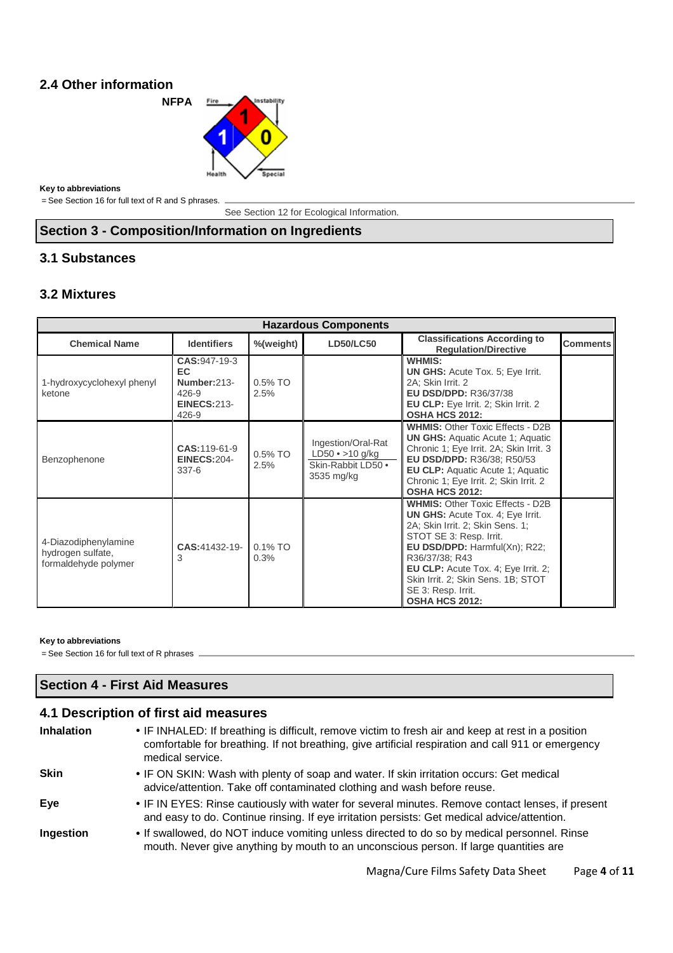### **2.4 Other information**

**NFPA** Fire **stability** Snacial

**Key to abbreviations**

= See Section 16 for full text of R and S phrases.

See Section 12 for Ecological Information.

### **Section 3 - Composition/Information on Ingredients**

### **3.1 Substances**

### **3.2 Mixtures**

| <b>Hazardous Components</b>                                       |                                                                                        |                    |                                                                                  |                                                                                                                                                                                                                                                                                                                                  |                 |
|-------------------------------------------------------------------|----------------------------------------------------------------------------------------|--------------------|----------------------------------------------------------------------------------|----------------------------------------------------------------------------------------------------------------------------------------------------------------------------------------------------------------------------------------------------------------------------------------------------------------------------------|-----------------|
| <b>Chemical Name</b>                                              | <b>Identifiers</b>                                                                     | %(weight)          | <b>LD50/LC50</b>                                                                 | <b>Classifications According to</b><br><b>Requlation/Directive</b>                                                                                                                                                                                                                                                               | <b>Comments</b> |
| 1-hydroxycyclohexyl phenyl<br>ketone                              | <b>CAS: 947-19-3</b><br>EC<br>Number: 213-<br>$426 - 9$<br><b>EINECS:213-</b><br>426-9 | 0.5% TO<br>2.5%    |                                                                                  | <b>WHMIS:</b><br><b>UN GHS: Acute Tox. 5; Eye Irrit.</b><br>2A: Skin Irrit. 2<br><b>EU DSD/DPD: R36/37/38</b><br><b>EU CLP:</b> Eye Irrit. 2; Skin Irrit. 2<br><b>OSHA HCS 2012:</b>                                                                                                                                             |                 |
| Benzophenone                                                      | CAS: 119-61-9<br><b>EINECS:204-</b><br>$337-6$                                         | $0.5\%$ TO<br>2.5% | Ingestion/Oral-Rat<br>$LD50 \cdot > 10$ g/kg<br>Skin-Rabbit LD50 .<br>3535 mg/kg | <b>WHMIS: Other Toxic Effects - D2B</b><br><b>UN GHS:</b> Aquatic Acute 1; Aquatic<br>Chronic 1; Eye Irrit. 2A; Skin Irrit. 3<br>EU DSD/DPD: R36/38; R50/53<br><b>EU CLP:</b> Aquatic Acute 1; Aquatic<br>Chronic 1: Eye Irrit. 2: Skin Irrit. 2<br><b>OSHA HCS 2012:</b>                                                        |                 |
| 4-Diazodiphenylamine<br>hydrogen sulfate,<br>formaldehyde polymer | CAS:41432-19-<br>3                                                                     | $0.1\%$ TO<br>0.3% |                                                                                  | <b>WHMIS: Other Toxic Effects - D2B</b><br><b>UN GHS: Acute Tox. 4: Eye Irrit.</b><br>2A; Skin Irrit. 2; Skin Sens. 1;<br>STOT SE 3: Resp. Irrit.<br>EU DSD/DPD: Harmful(Xn); R22;<br>R36/37/38; R43<br>EU CLP: Acute Tox. 4; Eye Irrit. 2;<br>Skin Irrit. 2; Skin Sens. 1B; STOT<br>SE 3: Resp. Irrit.<br><b>OSHA HCS 2012:</b> |                 |

#### **Key to abbreviations**

= See Section 16 for full text of R phrases

#### **Section 4 - First Aid Measures**

## **4.1 Description of first aid measures**

| <b>Inhalation</b> | • IF INHALED: If breathing is difficult, remove victim to fresh air and keep at rest in a position<br>comfortable for breathing. If not breathing, give artificial respiration and call 911 or emergency<br>medical service. |
|-------------------|------------------------------------------------------------------------------------------------------------------------------------------------------------------------------------------------------------------------------|
| <b>Skin</b>       | • IF ON SKIN: Wash with plenty of soap and water. If skin irritation occurs: Get medical<br>advice/attention. Take off contaminated clothing and wash before reuse.                                                          |
| Eye               | • IF IN EYES: Rinse cautiously with water for several minutes. Remove contact lenses, if present<br>and easy to do. Continue rinsing. If eye irritation persists: Get medical advice/attention.                              |
| Ingestion         | • If swallowed, do NOT induce vomiting unless directed to do so by medical personnel. Rinse<br>mouth. Never give anything by mouth to an unconscious person. If large quantities are                                         |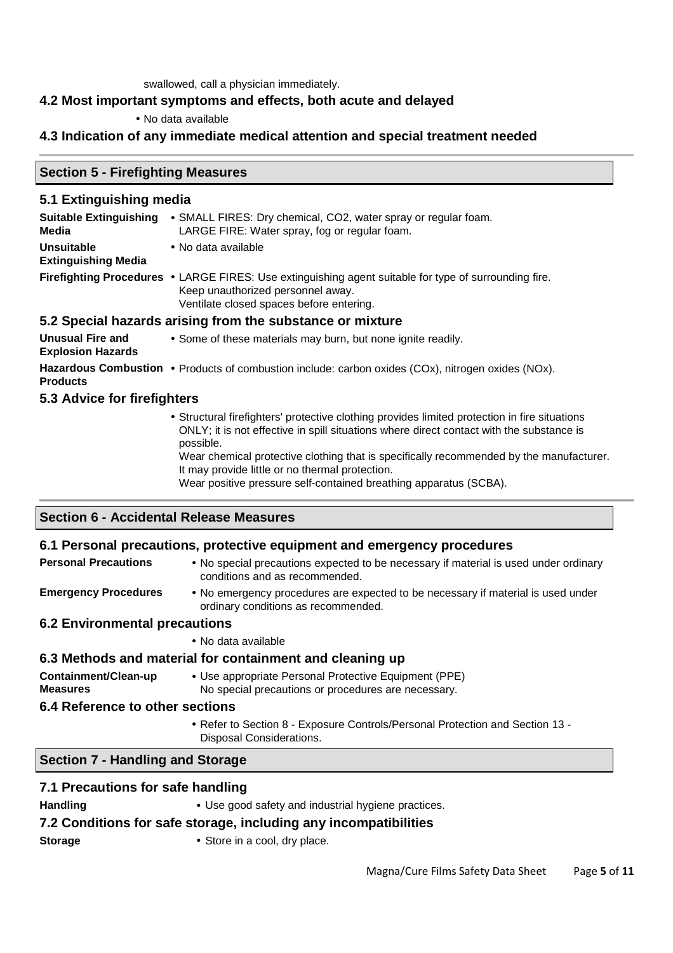swallowed, call a physician immediately.

### **4.2 Most important symptoms and effects, both acute and delayed**

### • No data available

### **4.3 Indication of any immediate medical attention and special treatment needed**

### **Section 5 - Firefighting Measures**

### **5.1 Extinguishing media**

| <b>Suitable Extinguishing</b><br>Media | • SMALL FIRES: Dry chemical, CO2, water spray or regular foam.<br>LARGE FIRE: Water spray, fog or regular foam.                                                                        |
|----------------------------------------|----------------------------------------------------------------------------------------------------------------------------------------------------------------------------------------|
| <b>Unsuitable</b>                      | • No data available                                                                                                                                                                    |
| <b>Extinguishing Media</b>             |                                                                                                                                                                                        |
|                                        | Firefighting Procedures • LARGE FIRES: Use extinguishing agent suitable for type of surrounding fire.<br>Keep unauthorized personnel away.<br>Ventilate closed spaces before entering. |
|                                        | 5.2 Special hazards arising from the substance or mixture                                                                                                                              |
| Unusual Fire and                       | • Some of these materials may burn but none inpite readily                                                                                                                             |

**Explosion Hazards**  • Some of these materials may burn, but none ignite readily. Hazardous Combustion • Products of combustion include: carbon oxides (COx), nitrogen oxides (NOx). **Products** 

#### **5.3 Advice for firefighters**

• Structural firefighters' protective clothing provides limited protection in fire situations ONLY; it is not effective in spill situations where direct contact with the substance is possible.

Wear chemical protective clothing that is specifically recommended by the manufacturer. It may provide little or no thermal protection.

Wear positive pressure self-contained breathing apparatus (SCBA).

#### **Section 6 - Accidental Release Measures**

#### **6.1 Personal precautions, protective equipment and emergency procedures**

- **Personal Precautions** No special precautions expected to be necessary if material is used under ordinary conditions and as recommended.
- **Emergency Procedures**  No emergency procedures are expected to be necessary if material is used under ordinary conditions as recommended.

#### **6.2 Environmental precautions**

• No data available

#### **6.3 Methods and material for containment and cleaning up**

**Containment/Clean-up Measures**  • Use appropriate Personal Protective Equipment (PPE)

No special precautions or procedures are necessary.

#### **6.4 Reference to other sections**

• Refer to Section 8 - Exposure Controls/Personal Protection and Section 13 - Disposal Considerations.

#### **Section 7 - Handling and Storage**

| 7.1 Precautions for safe handling                                |                                                     |  |  |  |
|------------------------------------------------------------------|-----------------------------------------------------|--|--|--|
| <b>Handling</b>                                                  | • Use good safety and industrial hygiene practices. |  |  |  |
| 7.2 Conditions for safe storage, including any incompatibilities |                                                     |  |  |  |
| <b>Storage</b>                                                   | • Store in a cool, dry place.                       |  |  |  |
|                                                                  |                                                     |  |  |  |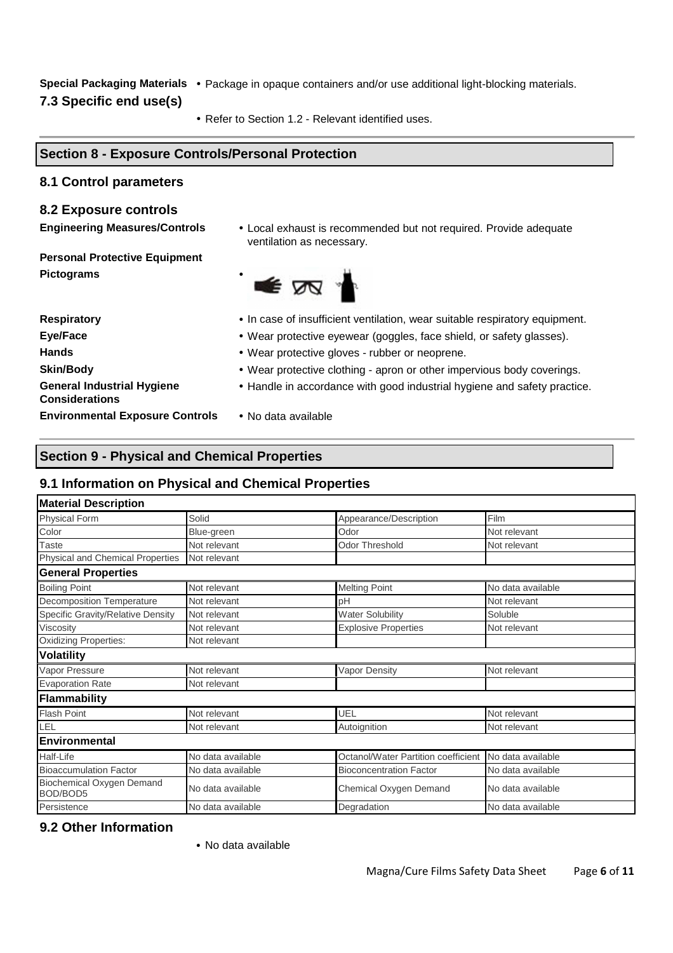**Special Packaging Materials** • Package in opaque containers and/or use additional light-blocking materials.

### **7.3 Specific end use(s)**

• Refer to Section 1.2 - Relevant identified uses.

# **Section 8 - Exposure Controls/Personal Protection**

#### **8.1 Control parameters**

#### **8.2 Exposure controls**

**Engineering Measures/Controls** • Local exhaust is recommended but not required. Provide adequate ventilation as necessary.

**Personal Protective Equipment Pictograms** •

E AA

**General Industrial Hygiene Considerations Environmental Exposure Controls** • No data available

- **Respiratory**  In case of insufficient ventilation, wear suitable respiratory equipment.
- **Eye/Face**  Wear protective eyewear (goggles, face shield, or safety glasses).
- **Hands**  Wear protective gloves rubber or neoprene.
- **Skin/Body •** Wear protective clothing apron or other impervious body coverings.
	- Handle in accordance with good industrial hygiene and safety practice.
	-

#### **Section 9 - Physical and Chemical Properties**

### **9.1 Information on Physical and Chemical Properties**

| <b>Material Description</b>           |                   |                                     |                   |  |
|---------------------------------------|-------------------|-------------------------------------|-------------------|--|
| <b>Physical Form</b>                  | Solid             | Appearance/Description              | Film              |  |
| Color                                 | Blue-green        | Odor                                | Not relevant      |  |
| <b>Taste</b>                          | Not relevant      | <b>Odor Threshold</b>               | Not relevant      |  |
| Physical and Chemical Properties      | Not relevant      |                                     |                   |  |
| <b>General Properties</b>             |                   |                                     |                   |  |
| <b>Boiling Point</b>                  | Not relevant      | <b>Melting Point</b>                | No data available |  |
| <b>Decomposition Temperature</b>      | Not relevant      | рH                                  | Not relevant      |  |
| Specific Gravity/Relative Density     | Not relevant      | Water Solubility                    | Soluble           |  |
| Viscosity                             | Not relevant      | <b>Explosive Properties</b>         | Not relevant      |  |
| <b>Oxidizing Properties:</b>          | Not relevant      |                                     |                   |  |
| <b>Volatility</b>                     |                   |                                     |                   |  |
| Vapor Pressure                        | Not relevant      | Vapor Density                       | Not relevant      |  |
| <b>Evaporation Rate</b>               | Not relevant      |                                     |                   |  |
| <b>Flammability</b>                   |                   |                                     |                   |  |
| <b>Flash Point</b>                    | Not relevant      | UEL                                 | Not relevant      |  |
| LEL                                   | Not relevant      | Autoignition                        | Not relevant      |  |
| <b>Environmental</b>                  |                   |                                     |                   |  |
| Half-Life                             | No data available | Octanol/Water Partition coefficient | No data available |  |
| <b>Bioaccumulation Factor</b>         | No data available | <b>Bioconcentration Factor</b>      | No data available |  |
| Biochemical Oxygen Demand<br>BOD/BOD5 | No data available | Chemical Oxygen Demand              | No data available |  |
| Persistence                           | No data available | Degradation                         | No data available |  |

#### **9.2 Other Information**

• No data available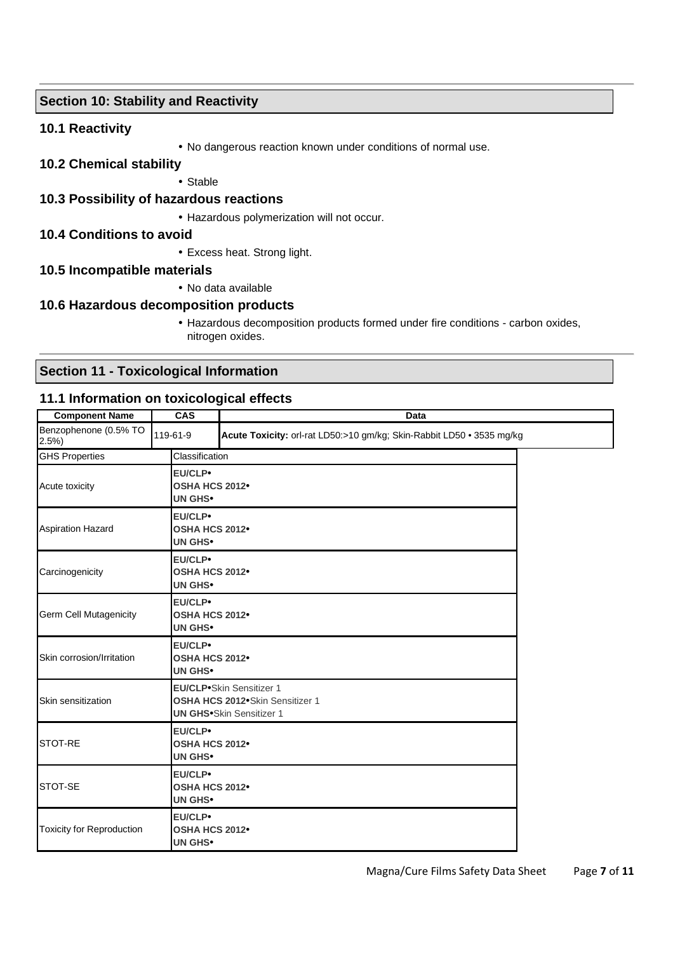### **Section 10: Stability and Reactivity**

#### **10.1 Reactivity**

• No dangerous reaction known under conditions of normal use.

#### **10.2 Chemical stability**

• Stable

#### **10.3 Possibility of hazardous reactions**

• Hazardous polymerization will not occur.

#### **10.4 Conditions to avoid**

• Excess heat. Strong light.

#### **10.5 Incompatible materials**

• No data available

#### **10.6 Hazardous decomposition products**

• Hazardous decomposition products formed under fire conditions - carbon oxides, nitrogen oxides.

### **Section 11 - Toxicological Information**

#### **11.1 Information on toxicological effects**

| <b>Component Name</b>            | <b>CAS</b>                                                                                             | Data                                                                  |  |  |
|----------------------------------|--------------------------------------------------------------------------------------------------------|-----------------------------------------------------------------------|--|--|
| Benzophenone (0.5% TO<br>2.5%    | 119-61-9                                                                                               | Acute Toxicity: orl-rat LD50:>10 gm/kg; Skin-Rabbit LD50 . 3535 mg/kg |  |  |
| <b>GHS Properties</b>            |                                                                                                        | Classification                                                        |  |  |
| Acute toxicity                   | EU/CLP•<br><b>UN GHS•</b>                                                                              | OSHA HCS 2012 <sup>•</sup>                                            |  |  |
| <b>Aspiration Hazard</b>         | EU/CLP•<br><b>UN GHS•</b>                                                                              | OSHA HCS 2012 <sup>•</sup>                                            |  |  |
| Carcinogenicity                  | EU/CLP•<br><b>UN GHS•</b>                                                                              | OSHA HCS 2012 <sup>•</sup>                                            |  |  |
| Germ Cell Mutagenicity           | EU/CLP•<br><b>UN GHS•</b>                                                                              | OSHA HCS 2012 <sup>•</sup>                                            |  |  |
| Skin corrosion/Irritation        | EU/CLP•<br>OSHA HCS 2012 <sup>•</sup><br><b>UN GHS•</b>                                                |                                                                       |  |  |
| Skin sensitization               | <b>EU/CLP</b> •Skin Sensitizer 1<br>OSHA HCS 2012 Skin Sensitizer 1<br><b>UN GHS•Skin Sensitizer 1</b> |                                                                       |  |  |
| STOT-RE                          | EU/CLP•<br>OSHA HCS 2012 <sup>•</sup><br><b>UN GHS•</b>                                                |                                                                       |  |  |
| STOT-SE                          | EU/CLP•<br>OSHA HCS 2012 <sup>•</sup><br><b>UN GHS•</b>                                                |                                                                       |  |  |
| <b>Toxicity for Reproduction</b> | EU/CLP•<br>OSHA HCS 2012 <sup>•</sup><br><b>UN GHS•</b>                                                |                                                                       |  |  |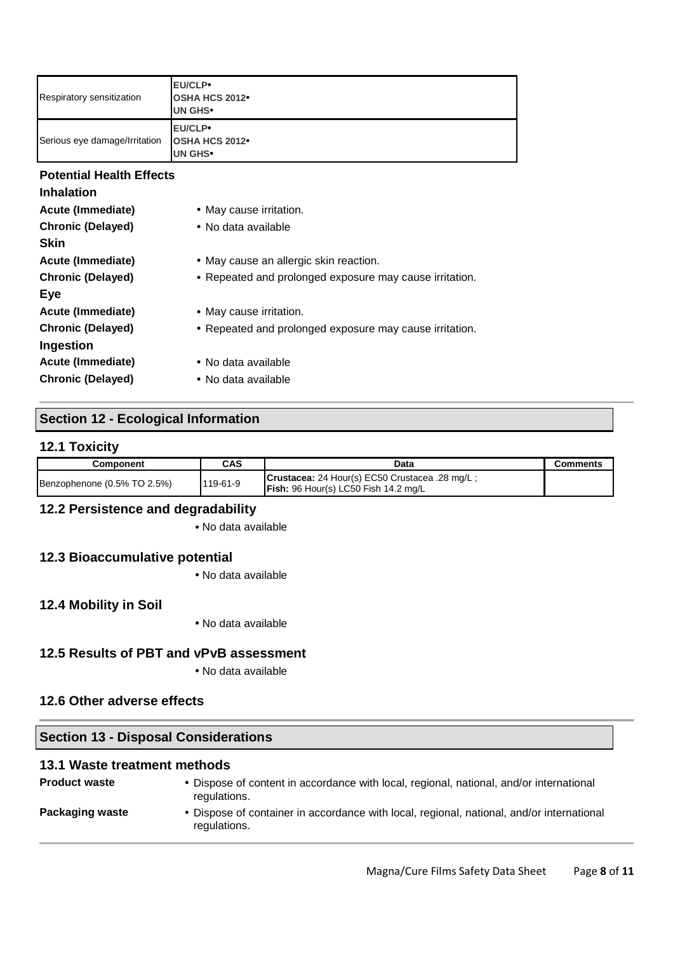| Respiratory sensitization       | EU/CLP•<br><b>OSHA HCS 2012</b><br>UN GHS <sup>.</sup>  |  |
|---------------------------------|---------------------------------------------------------|--|
| Serious eye damage/Irritation   | EU/CLP•<br><b>OSHA HCS 2012</b><br><b>UN GHS•</b>       |  |
| <b>Potential Health Effects</b> |                                                         |  |
| <b>Inhalation</b>               |                                                         |  |
| Acute (Immediate)               | • May cause irritation.                                 |  |
| <b>Chronic (Delayed)</b>        | • No data available                                     |  |
| <b>Skin</b>                     |                                                         |  |
| Acute (Immediate)               | • May cause an allergic skin reaction.                  |  |
| <b>Chronic (Delayed)</b>        | • Repeated and prolonged exposure may cause irritation. |  |
| Eye                             |                                                         |  |
| <b>Acute (Immediate)</b>        | • May cause irritation.                                 |  |
| <b>Chronic (Delayed)</b>        | • Repeated and prolonged exposure may cause irritation. |  |
| Ingestion                       |                                                         |  |
| <b>Acute (Immediate)</b>        | • No data available                                     |  |
| <b>Chronic (Delayed)</b>        | • No data available                                     |  |

## **Section 12 - Ecological Information**

#### **12.1 Toxicity**

| Component                   | <b>CAS</b> | Data                                                                                          | Comments |
|-----------------------------|------------|-----------------------------------------------------------------------------------------------|----------|
| Benzophenone (0.5% TO 2.5%) | 119-61-9   | Crustacea: 24 Hour(s) EC50 Crustacea .28 mg/L;<br><b>Fish:</b> 96 Hour(s) LC50 Fish 14.2 mg/L |          |

### **12.2 Persistence and degradability**

• No data available

#### **12.3 Bioaccumulative potential**

• No data available

### **12.4 Mobility in Soil**

• No data available

#### **12.5 Results of PBT and vPvB assessment**

• No data available

### **12.6 Other adverse effects**

#### **Section 13 - Disposal Considerations**

#### **13.1 Waste treatment methods**

| <b>Product waste</b> | • Dispose of content in accordance with local, regional, national, and/or international<br>regulations.   |
|----------------------|-----------------------------------------------------------------------------------------------------------|
| Packaging waste      | • Dispose of container in accordance with local, regional, national, and/or international<br>regulations. |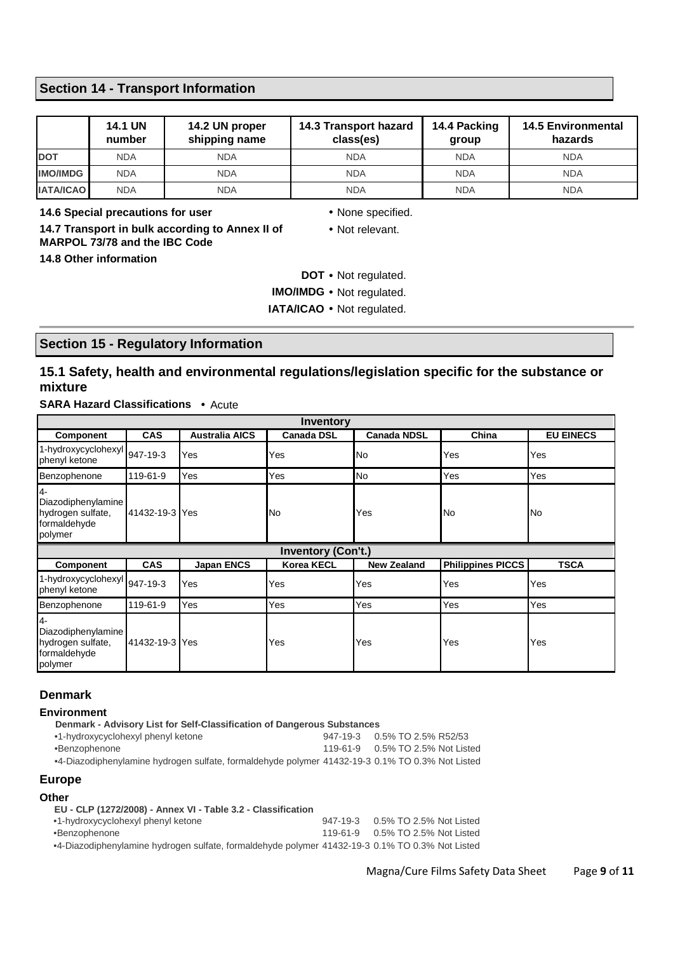### **Section 14 - Transport Information**

|                  | <b>14.1 UN</b><br>number | 14.2 UN proper<br>shipping name | 14.3 Transport hazard<br>class(es) | 14.4 Packing<br>group | <b>14.5 Environmental</b><br>hazards |
|------------------|--------------------------|---------------------------------|------------------------------------|-----------------------|--------------------------------------|
| <b>DOT</b>       | <b>NDA</b>               | <b>NDA</b>                      | <b>NDA</b>                         | <b>NDA</b>            | <b>NDA</b>                           |
| <b>IMO/IMDG</b>  | <b>NDA</b>               | <b>NDA</b>                      | <b>NDA</b>                         | <b>NDA</b>            | <b>NDA</b>                           |
| <b>IATA/ICAO</b> | <b>NDA</b>               | <b>NDA</b>                      | <b>NDA</b>                         | <b>NDA</b>            | <b>NDA</b>                           |

**14.6 Special precautions for user** • None specified. **14.7 Transport in bulk according to Annex II of MARPOL 73/78 and the IBC Code** 

• Not relevant.

**14.8 Other information** 

**DOT** • Not regulated.

**IMO/IMDG** • Not regulated.

**IATA/ICAO** • Not regulated.

#### **Section 15 - Regulatory Information**

### **15.1 Safety, health and environmental regulations/legislation specific for the substance or mixture**

**SARA Hazard Classifications** • Acute

| Inventory                                                                  |                |                       |                   |                    |                          |                  |
|----------------------------------------------------------------------------|----------------|-----------------------|-------------------|--------------------|--------------------------|------------------|
| Component                                                                  | <b>CAS</b>     | <b>Australia AICS</b> | <b>Canada DSL</b> | <b>Canada NDSL</b> | China                    | <b>EU EINECS</b> |
| 1-hydroxycyclohexyl<br>phenyl ketone                                       | 947-19-3       | Yes                   | Yes               | No                 | Yes                      | Yes              |
| Benzophenone                                                               | 119-61-9       | Yes                   | Yes               | No                 | Yes                      | Yes              |
| $4-$<br>Diazodiphenylamine<br>hydrogen sulfate,<br>formaldehyde<br>polymer | 41432-19-3 Yes |                       | No                | Yes                | No.                      | <b>No</b>        |
| <b>Inventory (Con't.)</b>                                                  |                |                       |                   |                    |                          |                  |
|                                                                            |                |                       |                   |                    |                          |                  |
| <b>Component</b>                                                           | <b>CAS</b>     | <b>Japan ENCS</b>     | <b>Korea KECL</b> | <b>New Zealand</b> | <b>Philippines PICCS</b> | <b>TSCA</b>      |
| 1-hydroxycyclohexyl<br>phenyl ketone                                       | 947-19-3       | Yes                   | Yes               | Yes                | Yes                      | Yes              |
| Benzophenone                                                               | 119-61-9       | Yes                   | Yes               | Yes                | Yes                      | Yes              |

#### **Denmark**

**Environment**

| Denmark - Advisory List for Self-Classification of Dangerous Substances                         |  |                                  |  |  |
|-------------------------------------------------------------------------------------------------|--|----------------------------------|--|--|
| •1-hydroxycyclohexyl phenyl ketone                                                              |  | 947-19-3 0.5% TO 2.5% R52/53     |  |  |
| •Benzophenone                                                                                   |  | 119-61-9 0.5% TO 2.5% Not Listed |  |  |
| •4-Diazodiphenylamine hydrogen sulfate, formaldehyde polymer 41432-19-3 0.1% TO 0.3% Not Listed |  |                                  |  |  |
| <b>Europe</b>                                                                                   |  |                                  |  |  |

#### **Other**

| EU - CLP (1272/2008) - Annex VI - Table 3.2 - Classification                                    |                                  |
|-------------------------------------------------------------------------------------------------|----------------------------------|
| •1-hydroxycyclohexyl phenyl ketone                                                              | 947-19-3 0.5% TO 2.5% Not Listed |
| •Benzophenone                                                                                   | 119-61-9 0.5% TO 2.5% Not Listed |
| •4-Diazodiphenylamine hydrogen sulfate, formaldehyde polymer 41432-19-3 0.1% TO 0.3% Not Listed |                                  |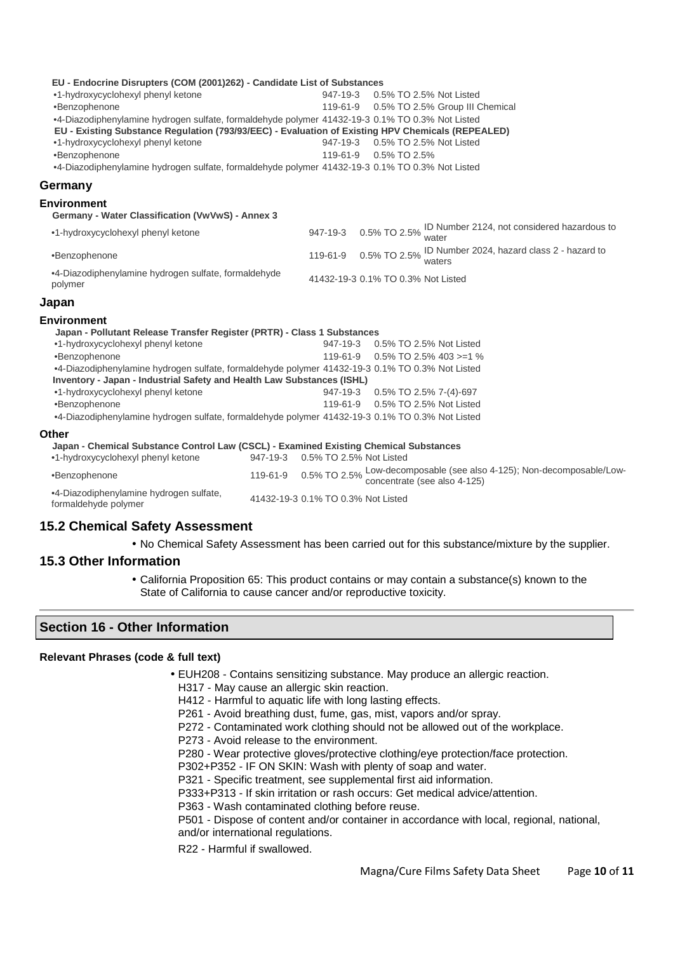| EU - Endocrine Disrupters (COM (2001)262) - Candidate List of Substances                        |                                                                                                   |
|-------------------------------------------------------------------------------------------------|---------------------------------------------------------------------------------------------------|
| •1-hydroxycyclohexyl phenyl ketone                                                              | 947-19-3<br>0.5% TO 2.5% Not Listed                                                               |
| ·Benzophenone                                                                                   | 119-61-9  0.5% TO 2.5% Group III Chemical                                                         |
| •4-Diazodiphenylamine hydrogen sulfate, formaldehyde polymer 41432-19-3 0.1% TO 0.3% Not Listed |                                                                                                   |
|                                                                                                 | EU - Existing Substance Regulation (793/93/EEC) - Evaluation of Existing HPV Chemicals (REPEALED) |
| •1-hydroxycyclohexyl phenyl ketone                                                              | 947-19-3  0.5% TO 2.5% Not Listed                                                                 |
| •Benzophenone                                                                                   | 119-61-9<br>0.5% TO 2.5%                                                                          |
| •4-Diazodiphenylamine hydrogen sulfate, formaldehyde polymer 41432-19-3 0.1% TO 0.3% Not Listed |                                                                                                   |
| Germany                                                                                         |                                                                                                   |
| <b>Environment</b>                                                                              |                                                                                                   |
| Germany - Water Classification (VwVwS) - Annex 3                                                |                                                                                                   |
| •1-hydroxycyclohexyl phenyl ketone                                                              | 947-19-3 0.5% TO 2.5% ID Number 2124, not considered hazardous to<br>water                        |
| •Benzophenone                                                                                   | 119-61-9 0.5% TO 2.5% ID Number 2024, hazard class 2 - hazard to                                  |
| •4-Diazodiphenylamine hydrogen sulfate, formaldehyde<br>polymer                                 | 41432-19-3 0.1% TO 0.3% Not Listed                                                                |
| Japan                                                                                           |                                                                                                   |
| <b>Environment</b>                                                                              |                                                                                                   |
| Japan - Pollutant Release Transfer Register (PRTR) - Class 1 Substances                         |                                                                                                   |
| •1-hydroxycyclohexyl phenyl ketone                                                              | 947-19-3 0.5% TO 2.5% Not Listed                                                                  |
| •Benzophenone                                                                                   | 119-61-9<br>$0.5\%$ TO 2.5% 403 >=1 %                                                             |
| •4-Diazodiphenylamine hydrogen sulfate, formaldehyde polymer 41432-19-3 0.1% TO 0.3% Not Listed |                                                                                                   |
| Inventory - Japan - Industrial Safety and Health Law Substances (ISHL)                          |                                                                                                   |
| •1-hydroxycyclohexyl phenyl ketone                                                              | 947-19-3  0.5% TO 2.5% 7-(4)-697                                                                  |
| •Benzophenone                                                                                   | 119-61-9  0.5% TO 2.5% Not Listed                                                                 |
| •4-Diazodiphenylamine hydrogen sulfate, formaldehyde polymer 41432-19-3 0.1% TO 0.3% Not Listed |                                                                                                   |
| Other                                                                                           |                                                                                                   |
| Japan - Chemical Substance Control Law (CSCL) - Examined Existing Chemical Substances           |                                                                                                   |
| •1-hydroxycyclohexyl phenyl ketone                                                              | 947-19-3  0.5% TO 2.5% Not Listed                                                                 |
| •Benzophenone                                                                                   | 119-61-9 0.5% TO 2.5% Low-decomposable (see also 4-125); Non-decomposable/Low-                    |

•4-Diazodiphenylamine hydrogen sulfate, formaldehyde polymer 41432-19-3 0.1% TO 0.3% Not Listed

### **15.2 Chemical Safety Assessment**

• No Chemical Safety Assessment has been carried out for this substance/mixture by the supplier.

### **15.3 Other Information**

• California Proposition 65: This product contains or may contain a substance(s) known to the State of California to cause cancer and/or reproductive toxicity.

### **Section 16 - Other Information**

### **Relevant Phrases (code & full text)**

- EUH208 Contains sensitizing substance. May produce an allergic reaction.
	- H317 May cause an allergic skin reaction.
	- H412 Harmful to aquatic life with long lasting effects.
	- P261 Avoid breathing dust, fume, gas, mist, vapors and/or spray.
	- P272 Contaminated work clothing should not be allowed out of the workplace.
	- P273 Avoid release to the environment.
	- P280 Wear protective gloves/protective clothing/eye protection/face protection.
	- P302+P352 IF ON SKIN: Wash with plenty of soap and water.
	- P321 Specific treatment, see supplemental first aid information.
	- P333+P313 If skin irritation or rash occurs: Get medical advice/attention.
	- P363 Wash contaminated clothing before reuse.
	- P501 Dispose of content and/or container in accordance with local, regional, national, and/or international regulations.
	- R22 Harmful if swallowed.